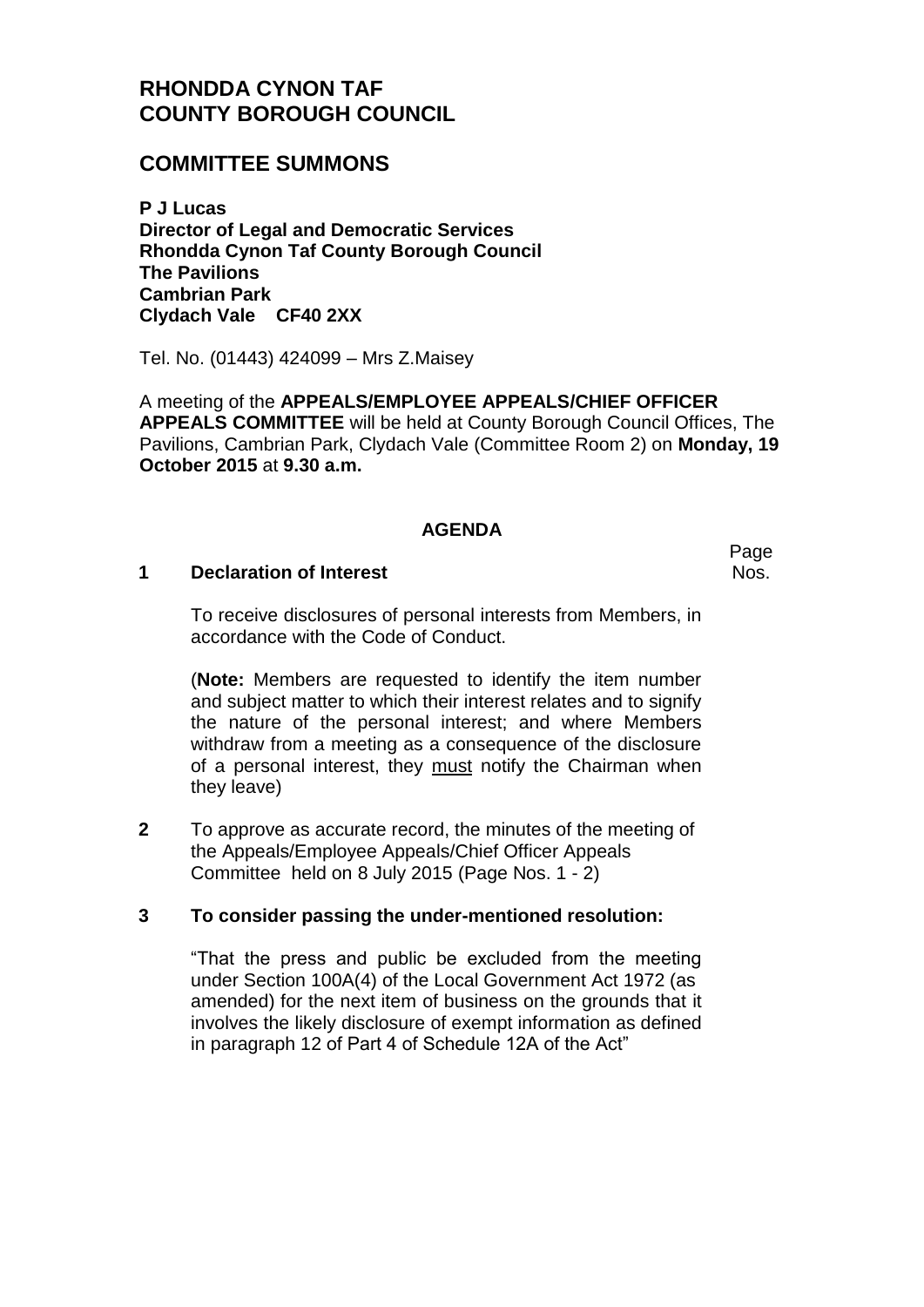# **RHONDDA CYNON TAF COUNTY BOROUGH COUNCIL**

# **COMMITTEE SUMMONS**

**P J Lucas Director of Legal and Democratic Services Rhondda Cynon Taf County Borough Council The Pavilions Cambrian Park Clydach Vale CF40 2XX**

Tel. No. (01443) 424099 – Mrs Z.Maisey

A meeting of the **APPEALS/EMPLOYEE APPEALS/CHIEF OFFICER APPEALS COMMITTEE** will be held at County Borough Council Offices, The Pavilions, Cambrian Park, Clydach Vale (Committee Room 2) on **Monday, 19 October 2015** at **9.30 a.m.**

### **AGENDA**

#### **1 Declaration of Interest**

Page Nos.

To receive disclosures of personal interests from Members, in accordance with the Code of Conduct.

(**Note:** Members are requested to identify the item number and subject matter to which their interest relates and to signify the nature of the personal interest; and where Members withdraw from a meeting as a consequence of the disclosure of a personal interest, they must notify the Chairman when they leave)

**2** To approve as accurate record, the minutes of the meeting of the Appeals/Employee Appeals/Chief Officer Appeals Committee held on 8 July 2015 (Page Nos. 1 - 2)

### **3 To consider passing the under-mentioned resolution:**

"That the press and public be excluded from the meeting under Section 100A(4) of the Local Government Act 1972 (as amended) for the next item of business on the grounds that it involves the likely disclosure of exempt information as defined in paragraph 12 of Part 4 of Schedule 12A of the Act"